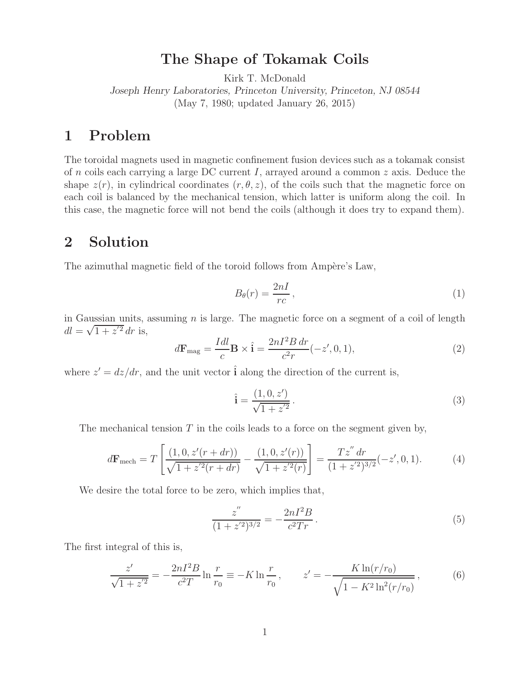## **The Shape of Tokamak Coils**

Kirk T. McDonald

*Joseph Henry Laboratories, Princeton University, Princeton, NJ 08544* (May 7, 1980; updated January 26, 2015)

## **1 Problem**

The toroidal magnets used in magnetic confinement fusion devices such as a tokamak consist of n coils each carrying a large DC current I, arrayed around a common z axis. Deduce the shape  $z(r)$ , in cylindrical coordinates  $(r, \theta, z)$ , of the coils such that the magnetic force on each coil is balanced by the mechanical tension, which latter is uniform along the coil. In this case, the magnetic force will not bend the coils (although it does try to expand them).

## **2 Solution**

The azimuthal magnetic field of the toroid follows from Ampère's Law,

$$
B_{\theta}(r) = \frac{2nI}{rc},\tag{1}
$$

in Gaussian units, assuming  $n$  is large. The magnetic force on a segment of a coil of length  $dl = \sqrt{1+z'^2} dr$  is,

$$
d\mathbf{F}_{\text{mag}} = \frac{Idl}{c} \mathbf{B} \times \hat{\mathbf{i}} = \frac{2nI^2B \, dr}{c^2r} (-z', 0, 1),\tag{2}
$$

where  $z' = dz/dr$ , and the unit vector  $\hat{i}$  along the direction of the current is,

$$
\hat{\mathbf{i}} = \frac{(1, 0, z')}{\sqrt{1 + z'^2}}.
$$
\n(3)

The mechanical tension  $T$  in the coils leads to a force on the segment given by,

$$
d\mathbf{F}_{\text{mech}} = T \left[ \frac{(1,0,z'(r+dr))}{\sqrt{1+z'^2(r+dr)}} - \frac{(1,0,z'(r))}{\sqrt{1+z'^2(r)}} \right] = \frac{Tz'' dr}{(1+z'^2)^{3/2}}(-z',0,1). \tag{4}
$$

We desire the total force to be zero, which implies that,

$$
\frac{z''}{(1+z'^2)^{3/2}} = -\frac{2nI^2B}{c^2Tr}.
$$
\n(5)

The first integral of this is,

$$
\frac{z'}{\sqrt{1+z'^2}} = -\frac{2nI^2B}{c^2T} \ln \frac{r}{r_0} \equiv -K \ln \frac{r}{r_0}, \qquad z' = -\frac{K \ln(r/r_0)}{\sqrt{1-K^2 \ln^2(r/r_0)}},\tag{6}
$$